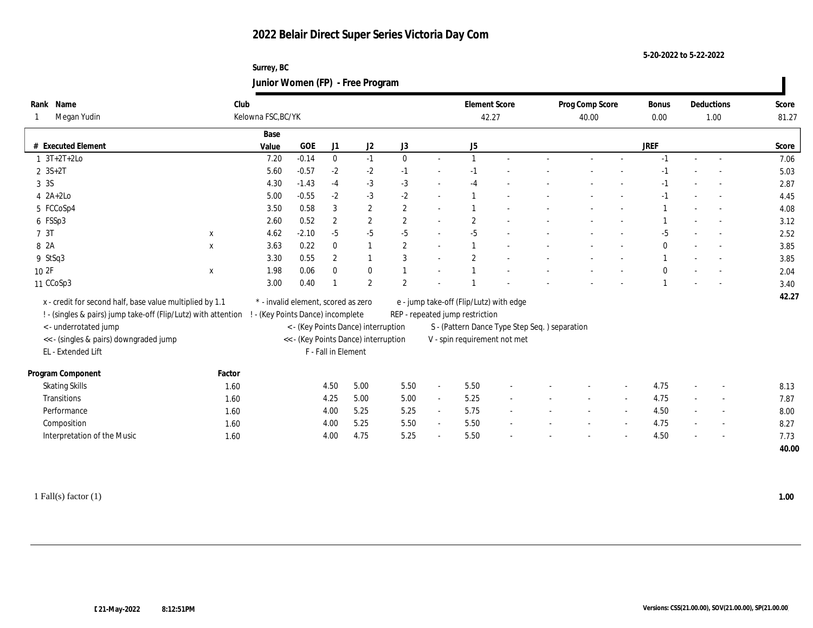**Surrey, BC Junior Women (FP) - Free Program**

| Rank Name                                                      | Club         |                                     |            |                     |                                      |                |                | <b>Element Score</b>                                                           |  | Prog Comp Score | <b>Bonus</b> |        | Deductions | Score |
|----------------------------------------------------------------|--------------|-------------------------------------|------------|---------------------|--------------------------------------|----------------|----------------|--------------------------------------------------------------------------------|--|-----------------|--------------|--------|------------|-------|
| Megan Yudin                                                    |              | Kelowna FSC, BC/YK                  |            |                     |                                      |                |                | 42.27                                                                          |  | 40.00           | 0.00         |        | 1.00       | 81.27 |
|                                                                |              | Base                                |            |                     |                                      |                |                |                                                                                |  |                 |              |        |            |       |
| # Executed Element                                             |              | Value                               | <b>GOE</b> | J1                  | J2                                   | J3             |                | J5                                                                             |  |                 | <b>JREF</b>  |        |            | Score |
| $1 \t3T+2T+2Lo$                                                |              | 7.20                                | $-0.14$    | $\bf{0}$            | $-1$                                 | $\mathbf{0}$   | $\sim$         |                                                                                |  |                 |              | $\sim$ | $\sim$     | 7.06  |
| $2 \, 3S + 2T$                                                 |              | 5.60                                | $-0.57$    | $-2$                | $-2$                                 | $-1$           |                | $-1$                                                                           |  |                 |              |        |            | 5.03  |
| 3 3 S                                                          |              | 4.30                                | $-1.43$    | $-4$                | $-3$                                 | $-3$           | $\sim$         | $-4$                                                                           |  |                 |              |        |            | 2.87  |
| $4 \ \ 2A+2Lo$                                                 |              | 5.00                                | $-0.55$    | $-2$                | $-3$                                 | $-2$           | $\sim$         |                                                                                |  |                 |              |        |            | 4.45  |
| 5 FCCoSp4                                                      |              | 3.50                                | 0.58       | 3                   | $\boldsymbol{2}$                     | $\overline{2}$ | $\sim$         |                                                                                |  |                 |              |        |            | 4.08  |
| 6 FSSp3                                                        |              | 2.60                                | 0.52       | $\boldsymbol{2}$    | $\mathbf{2}$                         | 2              | $\sim$         | $\overline{2}$                                                                 |  |                 |              |        |            | 3.12  |
| 7 3T                                                           | $\mathbf{x}$ | 4.62                                | $-2.10$    | $-5$                | $-5$                                 | $-5$           | $\sim$         | $-5$                                                                           |  |                 | $-5$         |        |            | 2.52  |
| 8 2A                                                           | $\mathbf X$  | 3.63                                | 0.22       | $\mathbf{0}$        | $\mathbf{1}$                         | 2              | $\sim$         |                                                                                |  |                 | $\Omega$     |        |            | 3.85  |
| 9 StSq3                                                        |              | 3.30                                | 0.55       | $\mathbf{2}$        |                                      | -3             | $\sim$         | $\overline{2}$                                                                 |  |                 |              |        |            | 3.85  |
| 10 2F                                                          | $\mathbf x$  | 1.98                                | 0.06       | $\mathbf{0}$        | $\bf{0}$                             |                | $\sim$         |                                                                                |  |                 |              |        |            | 2.04  |
| 11 CCoSp3                                                      |              | 3.00                                | 0.40       |                     | $\overline{2}$                       | $\overline{2}$ |                |                                                                                |  |                 |              |        |            | 3.40  |
| x - credit for second half, base value multiplied by 1.1       |              | * - invalid element, scored as zero |            |                     |                                      |                |                | e - jump take-off (Flip/Lutz) with edge                                        |  |                 |              |        |            | 42.27 |
| ! - (singles & pairs) jump take-off (Flip/Lutz) with attention |              | ! - (Key Points Dance) incomplete   |            |                     |                                      |                |                | REP - repeated jump restriction                                                |  |                 |              |        |            |       |
| < - underrotated jump                                          |              |                                     |            |                     | < - (Key Points Dance) interruption  |                |                |                                                                                |  |                 |              |        |            |       |
| << - (singles & pairs) downgraded jump                         |              |                                     |            |                     | << - (Key Points Dance) interruption |                |                | S - (Pattern Dance Type Step Seq. ) separation<br>V - spin requirement not met |  |                 |              |        |            |       |
| EL - Extended Lift                                             |              |                                     |            | F - Fall in Element |                                      |                |                |                                                                                |  |                 |              |        |            |       |
|                                                                |              |                                     |            |                     |                                      |                |                |                                                                                |  |                 |              |        |            |       |
| Program Component                                              | Factor       |                                     |            |                     |                                      |                |                |                                                                                |  |                 |              |        |            |       |
| <b>Skating Skills</b>                                          | 1.60         |                                     |            | 4.50                | 5.00                                 | 5.50           | $\blacksquare$ | 5.50                                                                           |  |                 | 4.75         |        |            | 8.13  |
| Transitions                                                    | 1.60         |                                     |            | 4.25                | 5.00                                 | 5.00           | $\sim$         | 5.25                                                                           |  |                 | 4.75         |        |            | 7.87  |
| Performance                                                    | 1.60         |                                     |            | 4.00                | 5.25                                 | 5.25           | $\blacksquare$ | 5.75                                                                           |  |                 | 4.50         |        |            | 8.00  |
| Composition                                                    | 1.60         |                                     |            | 4.00                | 5.25                                 | 5.50           | $\sim$         | 5.50                                                                           |  |                 | 4.75         |        |            | 8.27  |
| Interpretation of the Music                                    | 1.60         |                                     |            | 4.00                | 4.75                                 | 5.25           | $\sim$         | 5.50                                                                           |  |                 | 4.50         |        |            | 7.73  |
|                                                                |              |                                     |            |                     |                                      |                |                |                                                                                |  |                 |              |        |            | 40.00 |

1 Fall(s) factor (1) **1.00**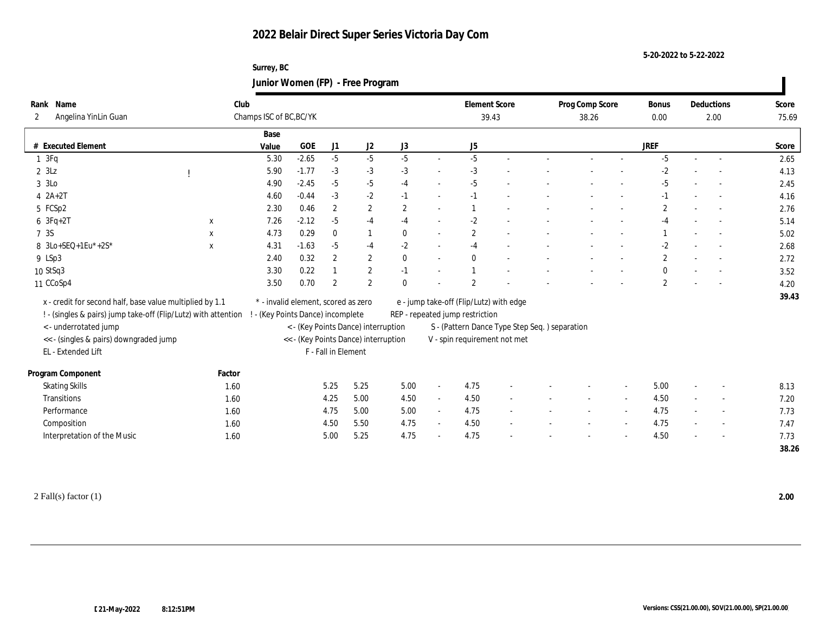**Surrey, BC Junior Women (FP) - Free Program**

| Rank Name                                                      | Club                    |                                      |                     |                  |                |                          | <b>Element Score</b>                          |        | Prog Comp Score |                          | <b>Bonus</b>   |        | Deductions | Score |
|----------------------------------------------------------------|-------------------------|--------------------------------------|---------------------|------------------|----------------|--------------------------|-----------------------------------------------|--------|-----------------|--------------------------|----------------|--------|------------|-------|
| Angelina YinLin Guan<br>$\mathbf{2}^{\prime}$                  | Champs ISC of BC, BC/YK |                                      |                     |                  |                |                          | 39.43                                         |        | 38.26           |                          | 0.00           |        | 2.00       | 75.69 |
|                                                                | Base                    |                                      |                     |                  |                |                          |                                               |        |                 |                          |                |        |            |       |
| <b>Executed Element</b>                                        | Value                   | $GOE$                                | J <sub>1</sub>      | J2               | J3             |                          | J5                                            |        |                 |                          | <b>JREF</b>    |        |            | Score |
| 13Fq                                                           | 5.30                    | $-2.65$                              | $-5$                | $-5$             | $-5$           | $\sim$                   | $-5$                                          | $\sim$ |                 |                          | $-5$           | $\sim$ | $\sim$     | 2.65  |
| $2 \, SLZ$                                                     | 5.90                    | $-1.77$                              | $-3$                | $-3$             | $-3$           | $\sim$                   | $-3$                                          |        |                 |                          | $-2$           |        |            | 4.13  |
| 3 3Lo                                                          | 4.90                    | $-2.45$                              | $-5$                | $-5$             | $-4$           | $\sim$                   | $-5$                                          |        |                 |                          | $-5$           |        |            | 2.45  |
| $4$ $2A+2T$                                                    | 4.60                    | $-0.44$                              | $-3$                | $-2$             | $-1$           | $\sim$                   | $-1$                                          |        |                 |                          | $-1$           |        |            | 4.16  |
| 5 FCSp2                                                        | 2.30                    | 0.46                                 | $\overline{2}$      | $\boldsymbol{2}$ | $\overline{2}$ | $\sim$                   |                                               |        |                 |                          | $\overline{c}$ |        |            | 2.76  |
| $6 \t3Fq+2T$                                                   | 7.26<br>$\mathbf{x}$    | $-2.12$                              | $-5$                | $-4$             | $-4$           | $\sim$                   | $-2$                                          |        |                 | $\overline{\phantom{a}}$ | $-4$           |        |            | 5.14  |
| 7 3S                                                           | 4.73<br>X               | 0.29                                 | $\bf{0}$            | 1                | $\theta$       | $\sim$                   | $\overline{2}$                                |        |                 |                          |                |        |            | 5.02  |
| 8 3Lo+SEQ+1Eu*+2S*                                             | 4.31<br>$\mathbf X$     | $-1.63$                              | $-5$                | $-4$             | $-2$           | $\overline{\phantom{a}}$ | $-4$                                          |        |                 |                          | $-2$           |        |            | 2.68  |
| 9 LSp3                                                         | 2.40                    | 0.32                                 | $\boldsymbol{2}$    | $\boldsymbol{2}$ | $\mathbf{0}$   | $\sim$                   | $\mathbf{0}$                                  |        |                 |                          | $\overline{2}$ |        | $\sim$     | 2.72  |
| 10 StSq3                                                       | 3.30                    | 0.22                                 |                     | $\sqrt{2}$       | $-1$           | $\sim$                   |                                               |        |                 |                          |                |        |            | 3.52  |
| 11 CCoSp4                                                      | 3.50                    | 0.70                                 | $\overline{2}$      | 2                | $\theta$       |                          | 2                                             |        |                 |                          | $\mathbf{2}$   |        |            | 4.20  |
| x - credit for second half, base value multiplied by 1.1       |                         | * - invalid element, scored as zero  |                     |                  |                |                          | e - jump take-off (Flip/Lutz) with edge       |        |                 |                          |                |        |            | 39.43 |
| ! - (singles & pairs) jump take-off (Flip/Lutz) with attention |                         | ! - (Key Points Dance) incomplete    |                     |                  |                |                          | REP - repeated jump restriction               |        |                 |                          |                |        |            |       |
| < - underrotated jump                                          |                         | < - (Key Points Dance) interruption  |                     |                  |                |                          | S - (Pattern Dance Type Step Seq.) separation |        |                 |                          |                |        |            |       |
| << - (singles & pairs) downgraded jump                         |                         | << - (Key Points Dance) interruption |                     |                  |                |                          | V - spin requirement not met                  |        |                 |                          |                |        |            |       |
| EL - Extended Lift                                             |                         |                                      | F - Fall in Element |                  |                |                          |                                               |        |                 |                          |                |        |            |       |
|                                                                |                         |                                      |                     |                  |                |                          |                                               |        |                 |                          |                |        |            |       |
| Program Component                                              | Factor                  |                                      |                     |                  |                |                          |                                               |        |                 |                          |                |        |            |       |
| <b>Skating Skills</b>                                          | 1.60                    |                                      | 5.25                | 5.25             | 5.00           | $\sim$                   | 4.75                                          |        |                 |                          | 5.00           |        |            | 8.13  |
| Transitions                                                    | 1.60                    |                                      | 4.25                | 5.00             | 4.50           | $\sim$                   | 4.50                                          |        |                 |                          | 4.50           |        |            | 7.20  |
| Performance                                                    | 1.60                    |                                      | 4.75                | 5.00             | 5.00           | $\sim$                   | 4.75                                          |        |                 | $\sim$                   | 4.75           | $\sim$ |            | 7.73  |
| Composition                                                    | 1.60                    |                                      | 4.50                | 5.50             | 4.75           | $\sim$                   | 4.50                                          |        |                 | $\sim$                   | 4.75           |        | $\sim$     | 7.47  |
| Interpretation of the Music                                    | 1.60                    |                                      | 5.00                | 5.25             | 4.75           | $\sim$                   | 4.75                                          |        |                 |                          | 4.50           |        |            | 7.73  |
|                                                                |                         |                                      |                     |                  |                |                          |                                               |        |                 |                          |                |        |            | 38.26 |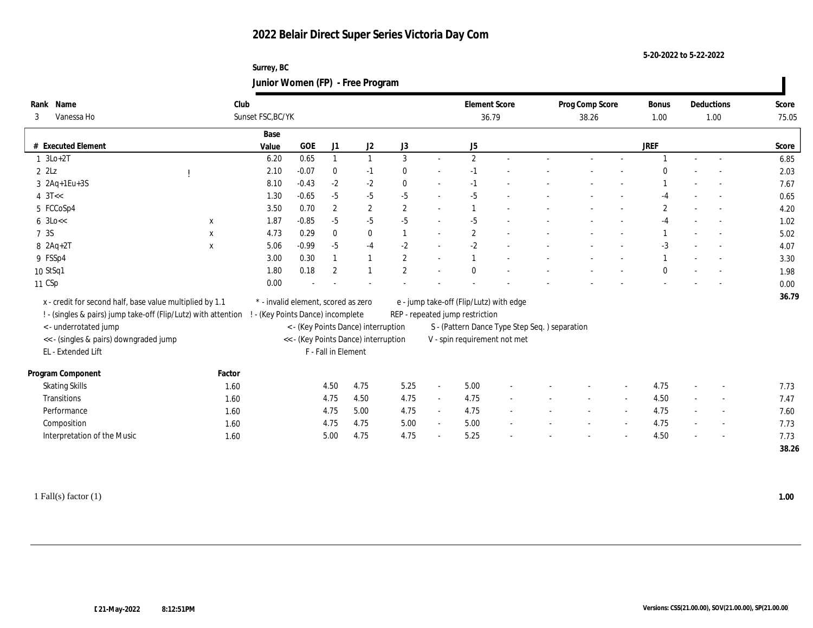**Surrey, BC Junior Women (FP) - Free Program**

| Name<br>Rank<br>Vanessa Ho<br>3                                |             | Club<br>Sunset FSC, BC/YK         |                                     |                     |                                      |                |        | <b>Element Score</b><br>36.79                 |  | Prog Comp Score<br>38.26 |                          | <b>Bonus</b><br>1.00 | Deductions<br>1.00       | Score<br>75.05 |
|----------------------------------------------------------------|-------------|-----------------------------------|-------------------------------------|---------------------|--------------------------------------|----------------|--------|-----------------------------------------------|--|--------------------------|--------------------------|----------------------|--------------------------|----------------|
|                                                                |             | Base                              |                                     |                     |                                      |                |        |                                               |  |                          |                          |                      |                          |                |
| # Executed Element                                             |             | Value                             | GOE                                 | J1                  | J2                                   | J3             |        | J5                                            |  |                          |                          | <b>JREF</b>          |                          | Score          |
| $1 \text{ } 3\text{Lo}+2\text{T}$                              |             | 6.20                              | 0.65                                |                     | $\mathbf{1}$                         | 3              |        | 2                                             |  |                          |                          |                      |                          | 6.85           |
| $2$ $2$ Lz                                                     |             | 2.10                              | $-0.07$                             | $\bf{0}$            | $-1$                                 | $\bf{0}$       | $\sim$ | $-1$                                          |  |                          |                          |                      |                          | 2.03           |
| 3 2Aq+1Eu+3S                                                   |             | 8.10                              | $-0.43$                             | $-2$                | $-2$                                 | $\mathbf{0}$   | $\sim$ | $-1$                                          |  |                          |                          |                      |                          | 7.67           |
| $4 \text{ } 3T <$                                              |             | 1.30                              | $-0.65$                             | $-5$                | $-5$                                 | $-5$           | $\sim$ | $-5$                                          |  |                          |                          |                      |                          | 0.65           |
| 5 FCCoSp4                                                      |             | 3.50                              | 0.70                                | $\boldsymbol{2}$    | $\boldsymbol{2}$                     | $\mathbf{2}$   | $\sim$ |                                               |  |                          |                          | $\mathbf{2}$         |                          | 4.20           |
| $6 \text{ } 3 \text{Lo} <<$                                    | $\mathbf X$ | 1.87                              | $-0.85$                             | $-5$                | $-5$                                 | $-5$           | $\sim$ | $-5$                                          |  |                          |                          | $-4$                 |                          | 1.02           |
| 7 3S                                                           | $\mathbf x$ | 4.73                              | 0.29                                | $\mathbf{0}$        | $\bf{0}$                             |                | $\sim$ | $\mathbf{2}$                                  |  |                          |                          |                      |                          | 5.02           |
| $8 \text{ } 2\text{Aq} + 2\text{T}$                            | $\mathbf X$ | 5.06                              | $-0.99$                             | $-5$                | $-4$                                 | $-2$           | $\sim$ | $-2$                                          |  |                          |                          | $-3$                 |                          | 4.07           |
| 9 FSSp4                                                        |             | 3.00                              | 0.30                                |                     | $\mathbf{1}$                         | $\mathbf{2}$   | $\sim$ | $\overline{1}$                                |  |                          |                          |                      |                          | 3.30           |
| 10 StSq1                                                       |             | 1.80                              | 0.18                                | $\overline{2}$      |                                      | $\overline{2}$ |        | $\Omega$                                      |  |                          |                          |                      |                          | 1.98           |
| 11 CSp                                                         |             | 0.00                              |                                     |                     |                                      |                |        |                                               |  |                          |                          |                      |                          | 0.00           |
| x - credit for second half, base value multiplied by 1.1       |             |                                   | * - invalid element, scored as zero |                     |                                      |                |        | e - jump take-off (Flip/Lutz) with edge       |  |                          |                          |                      |                          | 36.79          |
| ! - (singles & pairs) jump take-off (Flip/Lutz) with attention |             | ! - (Key Points Dance) incomplete |                                     |                     |                                      |                |        | REP - repeated jump restriction               |  |                          |                          |                      |                          |                |
| <- underrotated jump                                           |             |                                   |                                     |                     | < - (Key Points Dance) interruption  |                |        | S - (Pattern Dance Type Step Seq.) separation |  |                          |                          |                      |                          |                |
| << - (singles & pairs) downgraded jump                         |             |                                   |                                     |                     | << - (Key Points Dance) interruption |                |        | V - spin requirement not met                  |  |                          |                          |                      |                          |                |
| EL - Extended Lift                                             |             |                                   |                                     | F - Fall in Element |                                      |                |        |                                               |  |                          |                          |                      |                          |                |
|                                                                |             |                                   |                                     |                     |                                      |                |        |                                               |  |                          |                          |                      |                          |                |
| Program Component                                              | Factor      |                                   |                                     |                     |                                      |                |        |                                               |  |                          |                          |                      |                          |                |
| <b>Skating Skills</b>                                          | 1.60        |                                   |                                     | 4.50                | 4.75                                 | 5.25           | $\sim$ | 5.00                                          |  |                          |                          | 4.75                 |                          | 7.73           |
| Transitions                                                    | 1.60        |                                   |                                     | 4.75                | 4.50                                 | 4.75           | $\sim$ | 4.75                                          |  |                          |                          | 4.50                 | $\overline{\phantom{a}}$ | 7.47           |
| Performance                                                    | 1.60        |                                   |                                     | 4.75                | 5.00                                 | 4.75           | $\sim$ | 4.75                                          |  |                          |                          | 4.75                 | $\sim$                   | 7.60           |
| Composition                                                    | 1.60        |                                   |                                     | 4.75                | 4.75                                 | 5.00           | $\sim$ | 5.00                                          |  |                          | $\overline{\phantom{a}}$ | 4.75                 | $\overline{\phantom{a}}$ | 7.73           |
| Interpretation of the Music                                    | 1.60        |                                   |                                     | 5.00                | 4.75                                 | 4.75           | $\sim$ | 5.25                                          |  |                          |                          | 4.50                 |                          | 7.73           |
|                                                                |             |                                   |                                     |                     |                                      |                |        |                                               |  |                          |                          |                      |                          | 38.26          |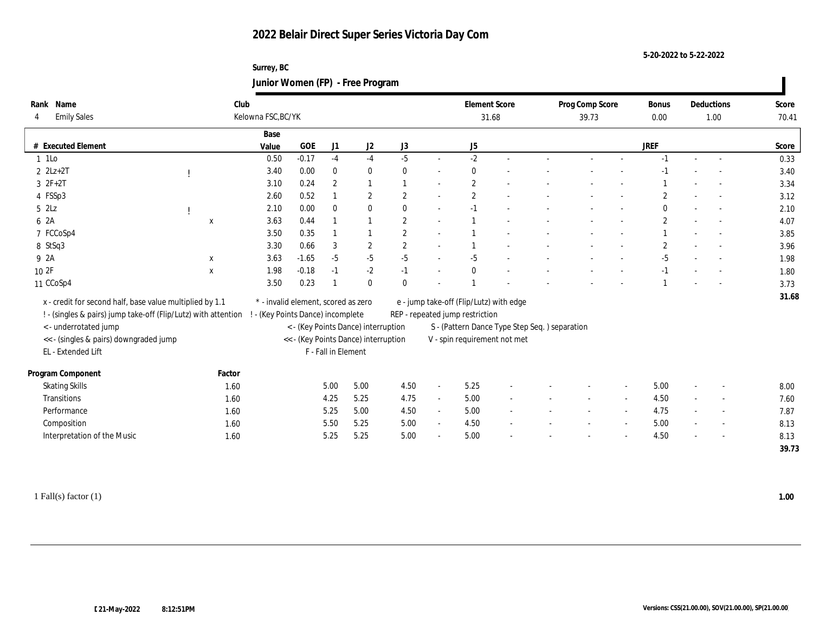**Surrey, BC Junior Women (FP) - Free Program**

| Rank Name<br><b>Emily Sales</b>                                | Club        | Kelowna FSC, BC/YK                |                                      |                     |            |                |                | <b>Element Score</b><br>31.68                 |  | Prog Comp Score<br>39.73 | Bonus<br>0.00  |                          | Deductions<br>1.00       | Score<br>70.41 |
|----------------------------------------------------------------|-------------|-----------------------------------|--------------------------------------|---------------------|------------|----------------|----------------|-----------------------------------------------|--|--------------------------|----------------|--------------------------|--------------------------|----------------|
|                                                                |             | Base                              |                                      |                     |            |                |                |                                               |  |                          |                |                          |                          |                |
| # Executed Element                                             |             | Value                             | <b>GOE</b>                           | J1                  | J2         | J3             |                | J5                                            |  |                          | <b>JREF</b>    |                          |                          | Score          |
| 1 1Lo                                                          |             | 0.50                              | $-0.17$                              | $-4$                | $-4$       | $-5$           | $\sim$         | $-2$                                          |  |                          |                |                          |                          | 0.33           |
| $2$ $2Lz+2T$                                                   |             | 3.40                              | 0.00                                 | $\mathbf{0}$        | $\bf{0}$   | $\mathbf{0}$   | $\sim$         | $\mathbf{0}$                                  |  |                          |                |                          |                          | 3.40           |
| $3 \t2F+2T$                                                    |             | 3.10                              | 0.24                                 | $\mathbf{2}$        |            |                | $\overline{a}$ | $\mathbf{2}$                                  |  |                          |                |                          |                          | 3.34           |
| 4 FSSp3                                                        |             | 2.60                              | 0.52                                 |                     | 2          | $\overline{2}$ | $\sim$         | $\mathbf{2}$                                  |  |                          | $\overline{2}$ |                          |                          | 3.12           |
| $5$ $2\text{L}z$                                               |             | 2.10                              | 0.00                                 | $\mathbf{0}$        | $\bf{0}$   | $\mathbf{0}$   | $\sim$         | $-1$                                          |  |                          | $\mathbf{0}$   |                          |                          | 2.10           |
| 6 2A                                                           | X           | 3.63                              | 0.44                                 |                     |            | $\overline{2}$ | $\sim$         |                                               |  |                          | $\mathbf{2}$   |                          |                          | 4.07           |
| 7 FCCoSp4                                                      |             | 3.50                              | 0.35                                 |                     |            | $\overline{2}$ | $\sim$         |                                               |  |                          |                |                          |                          | 3.85           |
| 8 StSq3                                                        |             | 3.30                              | 0.66                                 | 3                   | $\sqrt{2}$ | 2              | $\sim$         |                                               |  |                          | $\overline{2}$ |                          |                          | 3.96           |
| 9 2A                                                           | $\mathbf X$ | 3.63                              | $-1.65$                              | $-5$                | $-5$       | $-5$           | $\sim$         | $-5$                                          |  |                          | $-5$           |                          |                          | 1.98           |
| 10 2F                                                          | $\mathbf X$ | 1.98                              | $-0.18$                              | $-1$                | $-2$       | $-1$           |                | $\Omega$                                      |  |                          |                |                          |                          | 1.80           |
| 11 CCoSp4                                                      |             | 3.50                              | 0.23                                 |                     | $\bf{0}$   | $\theta$       |                |                                               |  |                          |                |                          |                          | 3.73           |
| x - credit for second half, base value multiplied by 1.1       |             |                                   | * - invalid element, scored as zero  |                     |            |                |                | e - jump take-off (Flip/Lutz) with edge       |  |                          |                |                          |                          | 31.68          |
| ! - (singles & pairs) jump take-off (Flip/Lutz) with attention |             | ! - (Key Points Dance) incomplete |                                      |                     |            |                |                | REP - repeated jump restriction               |  |                          |                |                          |                          |                |
| <- underrotated jump                                           |             |                                   | < - (Key Points Dance) interruption  |                     |            |                |                | S - (Pattern Dance Type Step Seq.) separation |  |                          |                |                          |                          |                |
| << - (singles & pairs) downgraded jump                         |             |                                   | << - (Key Points Dance) interruption |                     |            |                |                | V - spin requirement not met                  |  |                          |                |                          |                          |                |
| EL - Extended Lift                                             |             |                                   |                                      | F - Fall in Element |            |                |                |                                               |  |                          |                |                          |                          |                |
| Program Component                                              | Factor      |                                   |                                      |                     |            |                |                |                                               |  |                          |                |                          |                          |                |
| <b>Skating Skills</b>                                          | 1.60        |                                   |                                      | 5.00                | 5.00       | 4.50           | $\sim$         | 5.25                                          |  |                          | 5.00           |                          |                          | 8.00           |
| Transitions                                                    | 1.60        |                                   |                                      | 4.25                | 5.25       | 4.75           | $\sim$         | 5.00                                          |  |                          | 4.50           |                          |                          | 7.60           |
| Performance                                                    | 1.60        |                                   |                                      | 5.25                | 5.00       | 4.50           | $\sim$         | 5.00                                          |  |                          | 4.75           | $\overline{\phantom{a}}$ |                          | 7.87           |
| Composition                                                    | 1.60        |                                   |                                      | 5.50                | 5.25       | 5.00           | $\sim$         | 4.50                                          |  |                          | 5.00           |                          | $\overline{\phantom{a}}$ | 8.13           |
| Interpretation of the Music                                    | 1.60        |                                   |                                      | 5.25                | 5.25       | 5.00           |                | 5.00                                          |  |                          | 4.50           |                          |                          | 8.13           |
|                                                                |             |                                   |                                      |                     |            |                |                |                                               |  |                          |                |                          |                          | 39.73          |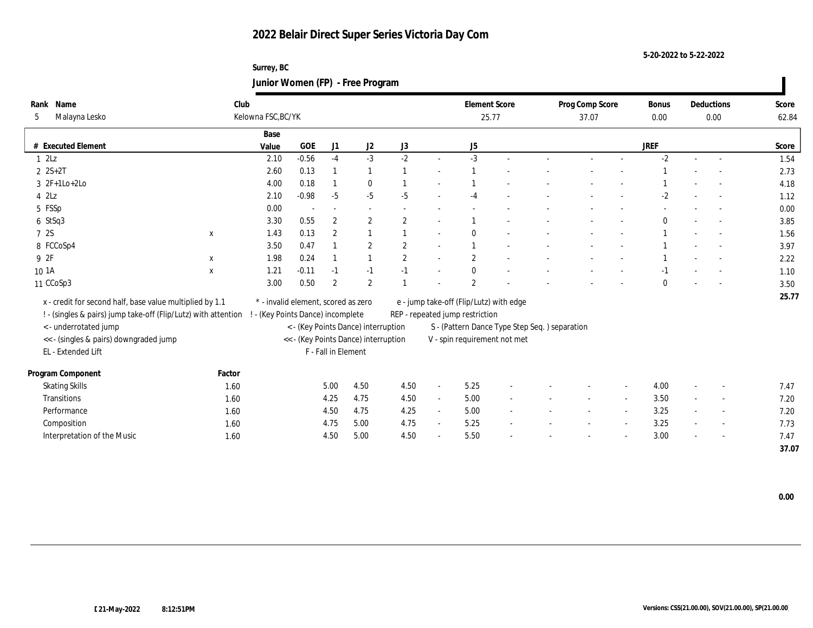**Surrey, BC Junior Women (FP) - Free Program**

| Rank Name                                                      | Club                              |                                           |                     |                                      |                |                          | <b>Element Score</b>                          |        | Prog Comp Score |                | <b>Bonus</b> |        | Deductions | Score         |
|----------------------------------------------------------------|-----------------------------------|-------------------------------------------|---------------------|--------------------------------------|----------------|--------------------------|-----------------------------------------------|--------|-----------------|----------------|--------------|--------|------------|---------------|
| Malayna Lesko<br>5                                             | Kelowna FSC, BC/YK                |                                           |                     |                                      |                |                          | 25.77                                         |        | 37.07           |                | 0.00         |        | 0.00       | 62.84         |
|                                                                | Base                              |                                           |                     |                                      |                |                          |                                               |        |                 |                |              |        |            |               |
| <b>Executed Element</b>                                        | Value                             | <b>GOE</b>                                | J1                  | J2                                   | J3             |                          | J5                                            |        |                 |                | <b>JREF</b>  |        |            | Score         |
| 12Lz                                                           | 2.10                              | $-0.56$                                   | $-4$                | $-3$                                 | $-2$           | $\sim$                   | $-3$                                          | $\sim$ |                 |                | $-2$         | $\sim$ | $\sim$     | 1.54          |
| $2 S+2T$                                                       | 2.60                              | 0.13                                      |                     |                                      |                | $\overline{\phantom{a}}$ |                                               |        |                 |                |              |        |            | 2.73          |
| $3 \t2F+1Lo+2Lo$                                               | 4.00                              | 0.18                                      |                     | $\bf{0}$                             |                | $\overline{\phantom{a}}$ |                                               |        |                 |                |              |        |            | 4.18          |
| $4$ $2\text{L}z$                                               | 2.10                              | $-0.98$                                   | $-5$                | $-5$                                 | $-5$           |                          | $-4$                                          |        |                 |                | $-2$         |        |            | 1.12          |
| 5 FSSp                                                         | 0.00                              |                                           |                     |                                      |                |                          |                                               |        |                 |                |              |        |            | 0.00          |
| 6 StSq3                                                        | 3.30                              | 0.55                                      | $\boldsymbol{2}$    | $\mathbf{2}$                         | $\overline{2}$ | $\overline{\phantom{a}}$ |                                               |        |                 |                |              |        |            | 3.85          |
| 7 2S<br>X                                                      | 1.43                              | 0.13                                      | $\mathbf{2}$        | $\mathbf{1}$                         |                | $\sim$                   |                                               |        |                 |                |              |        |            | 1.56          |
| 8 FCCoSp4                                                      | 3.50                              | 0.47                                      |                     | $\boldsymbol{2}$                     | $\overline{2}$ | $\sim$                   |                                               |        |                 |                |              |        |            | 3.97          |
| 9 2F<br>$\mathbf{x}$                                           | 1.98                              | 0.24                                      |                     |                                      | $\overline{2}$ | $\sim$                   | $\overline{2}$                                |        |                 |                |              |        |            | 2.22          |
| 10 1A<br>$\mathbf{x}$                                          | 1.21                              | $-0.11$                                   | $-1$                | $-1$                                 | $-1$           | $\overline{\phantom{a}}$ |                                               |        |                 |                |              |        |            | 1.10          |
| 11 CCoSp3                                                      | 3.00                              | 0.50                                      | $\overline{2}$      | $\boldsymbol{2}$                     |                |                          | $\overline{\mathbf{2}}$                       |        |                 |                |              |        |            | 3.50          |
| x - credit for second half, base value multiplied by 1.1       |                                   | $^\ast$ - invalid element, scored as zero |                     |                                      |                |                          | e - jump take-off (Flip/Lutz) with edge       |        |                 |                |              |        |            | 25.77         |
| ! - (singles & pairs) jump take-off (Flip/Lutz) with attention | ! - (Key Points Dance) incomplete |                                           |                     |                                      |                |                          | REP - repeated jump restriction               |        |                 |                |              |        |            |               |
| < - underrotated jump                                          |                                   |                                           |                     | < - (Key Points Dance) interruption  |                |                          | S - (Pattern Dance Type Step Seq.) separation |        |                 |                |              |        |            |               |
| << - (singles & pairs) downgraded jump                         |                                   |                                           |                     | << - (Key Points Dance) interruption |                |                          | V - spin requirement not met                  |        |                 |                |              |        |            |               |
| EL - Extended Lift                                             |                                   |                                           | F - Fall in Element |                                      |                |                          |                                               |        |                 |                |              |        |            |               |
| Program Component                                              | Factor                            |                                           |                     |                                      |                |                          |                                               |        |                 |                |              |        |            |               |
| <b>Skating Skills</b>                                          | 1.60                              |                                           | 5.00                | 4.50                                 | 4.50           | $\overline{\phantom{a}}$ | 5.25                                          |        |                 |                | 4.00         |        |            | 7.47          |
| Transitions                                                    |                                   |                                           | 4.25                | 4.75                                 | 4.50           |                          |                                               |        |                 |                | 3.50         |        |            |               |
| Performance                                                    | 1.60                              |                                           |                     | 4.75                                 | 4.25           | $\sim$                   | 5.00                                          |        |                 |                | 3.25         |        |            | 7.20          |
|                                                                | 1.60                              |                                           | 4.50                |                                      |                | $\sim$                   | 5.00                                          |        |                 | $\sim$         |              | $\sim$ |            | 7.20          |
| Composition                                                    | 1.60                              |                                           | 4.75                | 5.00                                 | 4.75           | $\sim$                   | 5.25                                          |        |                 | $\overline{a}$ | 3.25         |        |            | 7.73          |
| Interpretation of the Music                                    | 1.60                              |                                           | 4.50                | 5.00                                 | 4.50           | $\sim$                   | 5.50                                          |        |                 |                | 3.00         |        |            | 7.47<br>37.07 |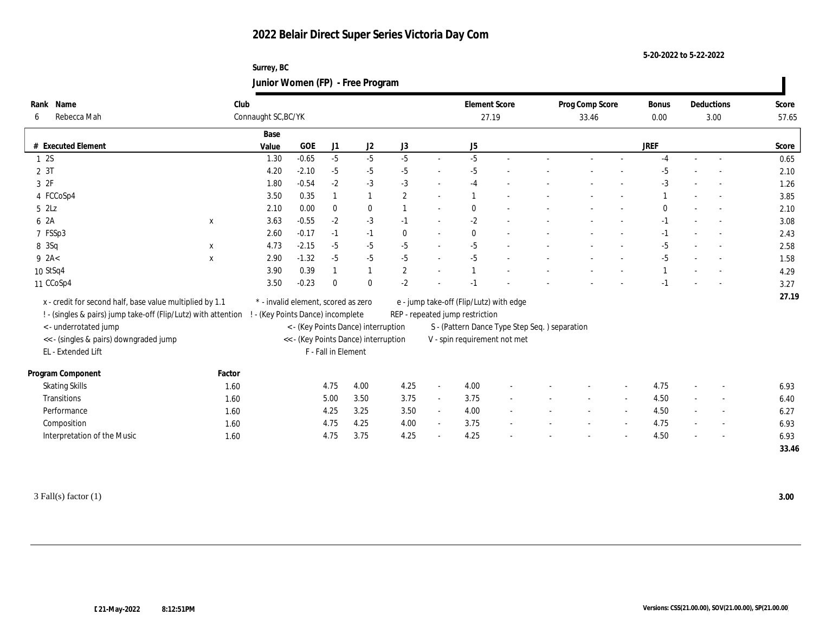**Surrey, BC Junior Women (FP) - Free Program**

| Rank Name                                                      | Club        |                                     |              |                     |                                      |                |                          | <b>Element Score</b>                          |        | Prog Comp Score |        | <b>Bonus</b> |        | Deductions               | Score |
|----------------------------------------------------------------|-------------|-------------------------------------|--------------|---------------------|--------------------------------------|----------------|--------------------------|-----------------------------------------------|--------|-----------------|--------|--------------|--------|--------------------------|-------|
| Rebecca Mah<br>6                                               |             | Connaught SC, BC/YK                 |              |                     |                                      |                |                          | 27.19                                         |        | 33.46           |        | 0.00         |        | 3.00                     | 57.65 |
|                                                                |             | Base                                |              |                     |                                      |                |                          |                                               |        |                 |        |              |        |                          |       |
| # Executed Element                                             |             | Value                               | $_{\rm GOE}$ | J <sub>1</sub>      | J <sub>2</sub>                       | J3             |                          | J5                                            |        |                 |        | <b>JREF</b>  |        |                          | Score |
| 1 2S                                                           |             | 1.30                                | $-0.65$      | $-5$                | $-5$                                 | $-5$           | $\sim$                   | $-5$                                          | $\sim$ |                 |        | $-4$         | $\sim$ | $\sim$                   | 0.65  |
| 2 3T                                                           |             | 4.20                                | $-2.10$      | $-5$                | $-5$                                 | $-5$           | $\sim$                   | $-5$                                          |        |                 |        | $-5$         |        |                          | 2.10  |
| 3 2F                                                           |             | 1.80                                | $-0.54$      | $-2$                | $-3$                                 | $-3$           | $\sim$                   | $-4$                                          |        |                 |        | $-3$         |        |                          | 1.26  |
| 4 FCCoSp4                                                      |             | 3.50                                | 0.35         |                     | $\mathbf{1}$                         | 2              | $\sim$                   |                                               |        |                 |        |              |        |                          | 3.85  |
| 5 2Lz                                                          |             | 2.10                                | 0.00         | $\mathbf{0}$        | $\bf{0}$                             |                | $\sim$                   | $\theta$                                      |        |                 |        | $\Omega$     |        |                          | 2.10  |
| 6 2A                                                           | X           | 3.63                                | $-0.55$      | $-2$                | $-3$                                 | $-1$           | $\sim$                   | $-2$                                          |        |                 |        | $-1$         |        |                          | 3.08  |
| 7 FSSp3                                                        |             | 2.60                                | $-0.17$      | $-1$                | $-1$                                 | $\mathbf{0}$   | $\overline{\phantom{a}}$ | $\Omega$                                      |        |                 |        | $-1$         |        |                          | 2.43  |
| 8 3Sq                                                          | $\mathbf x$ | 4.73                                | $-2.15$      | $-5$                | $-5$                                 | $-5$           | $\overline{\phantom{a}}$ | $-5$                                          |        |                 |        | $-5$         | $\sim$ |                          | 2.58  |
| $9$ 2A<                                                        | $\mathbf X$ | 2.90                                | $-1.32$      | $-5$                | $-5$                                 | $-5$           | $\sim$                   | $-5$                                          |        |                 |        | $-5$         |        | $\overline{\phantom{a}}$ | 1.58  |
| 10 StSq4                                                       |             | 3.90                                | 0.39         |                     |                                      | $\overline{2}$ | $\sim$                   |                                               |        |                 |        |              |        |                          | 4.29  |
| 11 CCoSp4                                                      |             | 3.50                                | $-0.23$      | $\theta$            | $\bf{0}$                             | $-2$           |                          |                                               |        |                 |        |              |        |                          | 3.27  |
| x - credit for second half, base value multiplied by 1.1       |             | * - invalid element, scored as zero |              |                     |                                      |                |                          | e - jump take-off (Flip/Lutz) with edge       |        |                 |        |              |        |                          | 27.19 |
| ! - (singles & pairs) jump take-off (Flip/Lutz) with attention |             | - (Key Points Dance) incomplete     |              |                     |                                      |                |                          | REP - repeated jump restriction               |        |                 |        |              |        |                          |       |
| < - underrotated jump                                          |             |                                     |              |                     | < - (Key Points Dance) interruption  |                |                          | S - (Pattern Dance Type Step Seq.) separation |        |                 |        |              |        |                          |       |
| << - (singles & pairs) downgraded jump                         |             |                                     |              |                     | << - (Key Points Dance) interruption |                |                          | V - spin requirement not met                  |        |                 |        |              |        |                          |       |
| EL - Extended Lift                                             |             |                                     |              | F - Fall in Element |                                      |                |                          |                                               |        |                 |        |              |        |                          |       |
|                                                                |             |                                     |              |                     |                                      |                |                          |                                               |        |                 |        |              |        |                          |       |
| Program Component                                              | Factor      |                                     |              |                     |                                      |                |                          |                                               |        |                 |        |              |        |                          |       |
| <b>Skating Skills</b>                                          | 1.60        |                                     |              | 4.75                | 4.00                                 | 4.25           | $\blacksquare$           | 4.00                                          |        |                 |        | 4.75         |        |                          | 6.93  |
| Transitions                                                    | 1.60        |                                     |              | 5.00                | 3.50                                 | 3.75           | $\sim$                   | 3.75                                          |        |                 |        | 4.50         |        |                          | 6.40  |
| Performance                                                    | 1.60        |                                     |              | 4.25                | 3.25                                 | 3.50           | $\sim$                   | 4.00                                          | $\sim$ |                 |        | 4.50         | $\sim$ | $\sim$                   | 6.27  |
| Composition                                                    | 1.60        |                                     |              | 4.75                | 4.25                                 | 4.00           | $\sim$                   | 3.75                                          | $\sim$ |                 | $\sim$ | 4.75         | $\sim$ | $\overline{\phantom{a}}$ | 6.93  |
| Interpretation of the Music                                    | 1.60        |                                     |              | 4.75                | 3.75                                 | 4.25           | $\sim$                   | 4.25                                          |        |                 |        | 4.50         |        |                          | 6.93  |
|                                                                |             |                                     |              |                     |                                      |                |                          |                                               |        |                 |        |              |        |                          | 33.46 |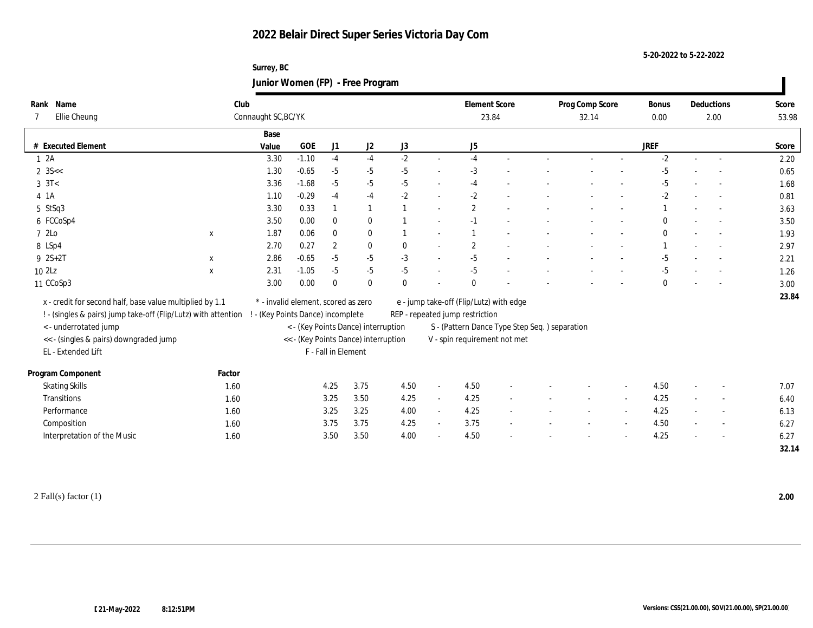**Surrey, BC Junior Women (FP) - Free Program**

| Rank Name                                                      | Club                              |                                     |                     |                                      |          |                          | <b>Element Score</b>                          |  | Prog Comp Score |        | <b>Bonus</b> |        | Deductions | Score |
|----------------------------------------------------------------|-----------------------------------|-------------------------------------|---------------------|--------------------------------------|----------|--------------------------|-----------------------------------------------|--|-----------------|--------|--------------|--------|------------|-------|
| Ellie Cheung                                                   | Connaught SC, BC/YK               |                                     |                     |                                      |          |                          | 23.84                                         |  | 32.14           |        | 0.00         |        | 2.00       | 53.98 |
|                                                                | Base                              |                                     |                     |                                      |          |                          |                                               |  |                 |        |              |        |            |       |
| <b>Executed Element</b>                                        | Value                             | $\rm GOE$                           | J1                  | J2                                   | J3       |                          | J5                                            |  |                 |        | <b>JREF</b>  |        |            | Score |
| 12A                                                            | 3.30                              | $-1.10$                             | $-4$                | $-4$                                 | $-2$     | $\sim$                   | $-4$                                          |  |                 |        | $-2$         | $\sim$ | $\sim$     | 2.20  |
| $2 \, 35 <$                                                    | 1.30                              | $-0.65$                             | $-5$                | $-5$                                 | $-5$     | $\overline{a}$           | $-3$                                          |  |                 |        | $-5$         |        |            | 0.65  |
| $3 \text{ } 3T<$                                               | 3.36                              | $-1.68$                             | $-5$                | $-5$                                 | $-5$     | $\sim$                   | $-4$                                          |  |                 |        | $-5$         |        |            | 1.68  |
| 4 1A                                                           | 1.10                              | $-0.29$                             | $-4$                | $-4$                                 | $-2$     | $\sim$                   | $-2$                                          |  |                 |        | $-2$         |        |            | 0.81  |
| 5 StSq3                                                        | 3.30                              | 0.33                                |                     | 1                                    |          | $\sim$                   | $\overline{2}$                                |  |                 |        |              |        |            | 3.63  |
| 6 FCCoSp4                                                      | 3.50                              | 0.00                                | $\mathbf{0}$        | $\mathbf{0}$                         |          | $\sim$                   | $-1$                                          |  |                 |        |              |        |            | 3.50  |
| 7 2Lo<br>$\mathbf{x}$                                          | 1.87                              | 0.06                                | $\bf{0}$            | $\bf{0}$                             |          | $\sim$                   |                                               |  |                 |        |              |        |            | 1.93  |
| 8 LSp4                                                         | 2.70                              | 0.27                                | $\boldsymbol{2}$    | $\mathbf{0}$                         | $\theta$ | $\sim$                   | $\overline{2}$                                |  |                 |        |              |        |            | 2.97  |
| $9 \; 2S + 2T$<br>$\mathbf x$                                  | 2.86                              | $-0.65$                             | $-5$                | $-5$                                 | $-3$     | $\sim$                   | $-5$                                          |  |                 |        | $-5$         |        |            | 2.21  |
| 102Lz<br>$\mathbf{x}$                                          | 2.31                              | $-1.05$                             | $-5$                | $-5$                                 | $-5$     | $\sim$                   | $-5$                                          |  |                 |        | $-5$         |        | $\sim$     | 1.26  |
| 11 CCoSp3                                                      | 3.00                              | 0.00                                | $\mathbf{0}$        | $\mathbf{0}$                         | $\theta$ |                          |                                               |  |                 |        | 0            |        |            | 3.00  |
| x - credit for second half, base value multiplied by 1.1       |                                   | * - invalid element, scored as zero |                     |                                      |          |                          | e - jump take-off (Flip/Lutz) with edge       |  |                 |        |              |        |            | 23.84 |
| ! - (singles & pairs) jump take-off (Flip/Lutz) with attention | ! - (Key Points Dance) incomplete |                                     |                     |                                      |          |                          | REP - repeated jump restriction               |  |                 |        |              |        |            |       |
| <- underrotated jump                                           |                                   |                                     |                     | < - (Key Points Dance) interruption  |          |                          | S - (Pattern Dance Type Step Seq.) separation |  |                 |        |              |        |            |       |
| << - (singles & pairs) downgraded jump                         |                                   |                                     |                     | << - (Key Points Dance) interruption |          |                          | V - spin requirement not met                  |  |                 |        |              |        |            |       |
| EL - Extended Lift                                             |                                   |                                     | F - Fall in Element |                                      |          |                          |                                               |  |                 |        |              |        |            |       |
|                                                                |                                   |                                     |                     |                                      |          |                          |                                               |  |                 |        |              |        |            |       |
| Program Component                                              | Factor                            |                                     |                     |                                      |          |                          |                                               |  |                 |        |              |        |            |       |
| <b>Skating Skills</b>                                          | 1.60                              |                                     | 4.25                | 3.75                                 | 4.50     | $\overline{\phantom{a}}$ | 4.50                                          |  |                 |        | 4.50         |        |            | 7.07  |
| Transitions                                                    | 1.60                              |                                     | 3.25                | 3.50                                 | 4.25     | $\sim$                   | 4.25                                          |  |                 |        | 4.25         |        |            | 6.40  |
| Performance                                                    | 1.60                              |                                     | 3.25                | 3.25                                 | 4.00     | $\sim$                   | 4.25                                          |  |                 |        | 4.25         | $\sim$ |            | 6.13  |
| Composition                                                    | 1.60                              |                                     | 3.75                | 3.75                                 | 4.25     | $\sim$                   | 3.75                                          |  |                 | $\sim$ | 4.50         |        | $\sim$     | 6.27  |
| Interpretation of the Music                                    | 1.60                              |                                     | 3.50                | $3.50\,$                             | 4.00     | $\sim$                   | 4.50                                          |  |                 |        | 4.25         |        |            | 6.27  |
|                                                                |                                   |                                     |                     |                                      |          |                          |                                               |  |                 |        |              |        |            | 32.14 |